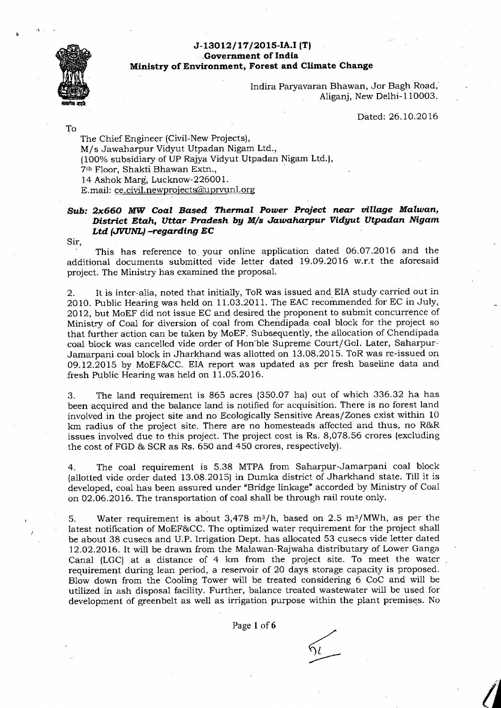## J-13012/17/2015-IA.I (T) Government of India Ministry of Environment, Forest and Climate Change



Indira Paryavaran Bhawan, Jor Bagh Road, Aliganj, New Delhi-110003.

Dated: 26.10.2016

To

The Chief Engineer (Civil-New Projects), M/s Jawaharpur Vidyut Utpadan Nigam Ltd., (100% subsidiary of UP Rajya Vidyut Utpadan Nigam Ltd.), 7th Floor, Shakti Bhawan Extn., 14 Ashok Marg, Lucknow-226001. E.mail: ce.civil.newprojects@uprvunl.org

## Sub: 2x660 MW Coal Based Thermal Power Project near village Malwan, District Etah, Uttar Pradesh by M/s Jawaharpur Vidyut Utpadan Nigam Ltd (JVUNL) -regarding EC

Sir,

This has reference to your online application dated 06.07.2016 and the additional documents submitted vide letter dated 19.09.2016 w.r.t the aforesaid project. The Ministry has examined the proposal.

It is inter-alia, noted that initially, ToR was issued and EIA study carried out in 2. 2010. Public Hearing was held on 11.03.2011. The EAC recommended for EC in July, 2012, but MoEF did not issue EC and desired the proponent to submit concurrence of Ministry of Coal for diversion of coal from Chendipada coal block for the project so that further action can be taken by MoEF. Subsequently, the allocation of Chendipada coal block was cancelled vide order of Hon'ble Supreme Court/GoI. Later, Saharpur-Jamarpani coal block in Jharkhand was allotted on 13.08.2015. ToR was re-issued on 09.12.2015 by MoEF&CC. EIA report was updated as per fresh baseline data and fresh Public Hearing was held on  $11.05.2016$ .

The land requirement is 865 acres (350.07 ha) out of which 336.32 ha has 3. been acquired and the balance land is notified for acquisition. There is no forest land involved in the project site and no Ecologically Sensitive Areas/Zones exist within 10 km radius of the project site. There are no homesteads affected and thus, no R&R issues involved due to this project. The project cost is Rs. 8,078.56 crores (excluding the cost of FGD & SCR as Rs. 650 and 450 crores, respectively).

The coal requirement is 5.38 MTPA from Saharpur-Jamarpani coal block  $4.$ (allotted vide order dated 13.08.2015) in Dumka district of Jharkhand state. Till it is developed, coal has been assured under "Bridge linkage" accorded by Ministry of Coal on 02.06.2016. The transportation of coal shall be through rail route only.

Water requirement is about 3,478  $m^3/h$ , based on 2.5  $m^3/MWh$ , as per the 5. latest notification of MoEF&CC. The optimized water requirement for the project shall be about 38 cusecs and U.P. Irrigation Dept. has allocated 53 cusecs vide letter dated 12.02.2016. It will be drawn from the Malawan-Rajwaha distributary of Lower Ganga Canal (LGC) at a distance of 4 km from the project site. To meet the water requirement during lean period, a reservoir of 20 days storage capacity is proposed. Blow down from the Cooling Tower will be treated considering 6 CoC and will be utilized in ash disposal facility. Further, balance treated wastewater will be used for development of greenbelt as well as irrigation purpose within the plant premises. No

Page 1 of 6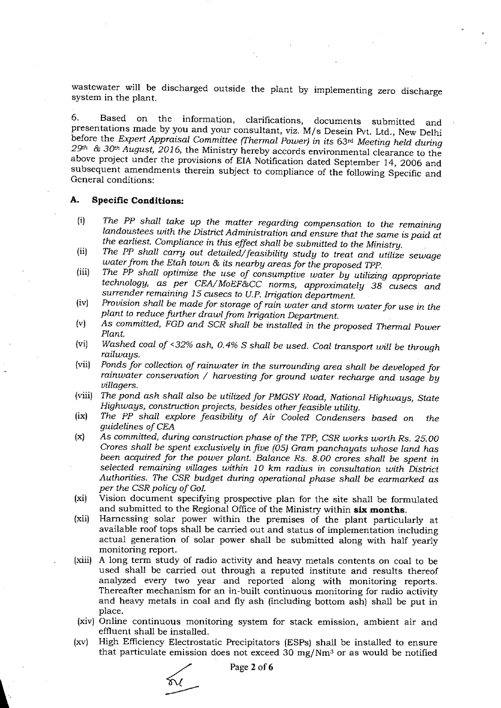wastewater will be discharged outside the plant by implementing zero discharge system in the plant.

Based on the information, clarifications, documents submitted 6. and presentations made by you and your consultant, viz. M/s Desein Pvt. Ltd., New Delhi before the Expert Appraisal Committee (Thermal Power) in its 63rd Meeting held during  $29$ <sup>th</sup> &  $30$ <sup>th</sup> August, 2016, the Ministry hereby accords environmental clearance to the above project under the provisions of EIA Notification dated September 14, 2006 and subsequent amendments therein subject to compliance of the following Specific and General conditions:

## А. **Specific Conditions:**

- The PP shall take up the matter regarding compensation to the remaining  $(i)$ landoustees with the District Administration and ensure that the same is paid at the earliest. Compliance in this effect shall be submitted to the Ministry.
- The PP shall carry out detailed/feasibility study to treat and utilize sewage  $(ii)$ water from the Etah town & its nearby areas for the proposed TPP.
- The PP shall optimize the use of consumptive water by utilizing appropriate  $(iii)$ technology, as per CEA/MoEF&CC norms, approximately 38 cusecs and surrender remaining 15 cusecs to U.P. Irrigation department.
- Provision shall be made for storage of rain water and storm water for use in the  $(iv)$ plant to reduce further drawl from Irrigation Department.
- As committed, FGD and SCR shall be installed in the proposed Thermal Power  $(v)$ Plant.
- Washed coal of <32% ash, 0.4% S shall be used. Coal transport will be through  $(vi)$ railways.
- Ponds for collection of rainwater in the surrounding area shall be developed for  $(vii)$ rainwater conservation / harvesting for ground water recharge and usage by villagers.
- $(viii)$ The pond ash shall also be utilized for PMGSY Road, National Highways, State Highways, construction projects, besides other feasible utility.
- $(ix)$ The PP shall explore feasibility of Air Cooled Condensers based on the quidelines of CEA
- As committed, during construction phase of the TPP, CSR works worth Rs. 25.00  $(\mathbf{x})$ Crores shall be spent exclusively in five (05) Gram panchayats whose land has been acquired for the power plant. Balance Rs. 8.00 crores shall be spent in selected remaining villages within 10 km radius in consultation with District Authorities. The CSR budget during operational phase shall be earmarked as per the CSR policy of GoI.
- Vision document specifying prospective plan for the site shall be formulated  $(x_i)$ and submitted to the Regional Office of the Ministry within six months.
- Harnessing solar power within the premises of the plant particularly at  $(xii)$ available roof tops shall be carried out and status of implementation including actual generation of solar power shall be submitted along with half yearly monitoring report.
- (xiii) A long term study of radio activity and heavy metals contents on coal to be used shall be carried out through a reputed institute and results thereof analyzed every two year and reported along with monitoring reports. Thereafter mechanism for an in-built continuous monitoring for radio activity and heavy metals in coal and fly ash (including bottom ash) shall be put in place.
- (xiv) Online continuous monitoring system for stack emission, ambient air and effluent shall be installed.
- High Efficiency Electrostatic Precipitators (ESPs) shall be installed to ensure  $\{xy\}$ that particulate emission does not exceed 30 mg/Nm<sup>3</sup> or as would be notified

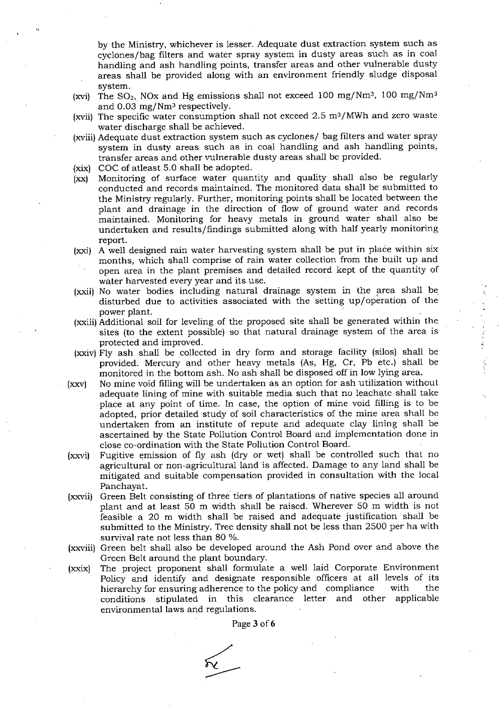by the Ministry, whichever is lesser. Adequate dust extraction system such as cyclones/bag filters and water spray system in dusty areas such as in coal handling and ash handling points, transfer areas and other vulnerable dusty areas shall be provided along with an environment friendly sludge disposal system .

- (xvi) The SO<sub>2</sub>, NOx and Hg emissions shall not exceed 100 mg/Nm<sup>3</sup>, 100 mg/Nm<sup>3</sup> and  $0.03$  mg/Nm<sup>3</sup> respectively.
- (xvii) The specific water consumption shall not exceed  $2.5 \text{ m}^3/\text{MWh}$  and zero waste water discharge shall be achieved.
- (xviii) Adequate dust extraction system such as cyclones/ bag filters and water spray system in dusty areas such as in coal handling and ash handling points, transfer areas and other vulnerable dusty areas shall be provided.
- (xix) COC of atleast 5.0 shall be adopted.
- (xx) Monitoring of surface water quantity and quality shall also be regularly conducted and records maintained. The monitored data shall be submitted to the Ministry regularly. Further, monitoring points shall be located between the plant and drainage in the direction of flow of ground water and records maintained. Monitoring for heavy metals in ground water shall also be undertaken and results/findings submitted along with half yearly monitoring report.
- (xxi) A well designed rain water harvesting system shall be put in place within six months, which shall comprise of rain water collection from the built up and open area in the plant premises and detailed record kept of the quantity of water harvested every year and its use.
- (xxii) No water bodies including natural drainage system in the area shall be disturbed due to activities associated with the setting up/operation of the power plant.
- (xxiii) Additional soil for leveling of the proposed site shall be generated within the sites (to the extent possible) so that natural drainage system of the area is protected and im proved.
- (xxiv) Fly ash shall be collected in dry form and storage facility (silos) shall be provided. Mercury and other heavy metals (As, Hg, Cr, Pb etc.) shall be monitored in the bottom ash. No ash shall be disposed off in low lying area.
- (xxv) No mine void filling will be undertaken as an option for ash utilization without adequate lining of mine with suitable media such that no leachate shall take place at any point of time. In case, the option of mine void filling is to be adopted, prior detailed study of soil characteristics of the mine area shall be undertaken from an institute of repute and adequate clay lining shall be ascertained by the State Pollution Control Board and implementation done in close co-ordination with the State Pollution Control Board.
- (xxvi) Fugitive emission of fly ash (dry or wet) shall be controlled such that no agricultural or non-agricultural land is affected. Damage to any land shall be mitigated and suitable compensation provided in consultation with the local Panchayat.
- (xxvii) Green Belt consisting of three tiers of plantations of native species all around plant and at least 50 m width shall be raised. Wherever 50 m width is not feasible a 20 m width shall be raised and adequate justification shall be submitted to the Ministry. Tree density shall not be less than 2500 per ha with survival rate not less than 80 %.
- (xxviii) Green belt shall also be developed around the Ash Pond over and above the Green Belt around the plant boundary.
- (xxix) The project proponent shall formulate a well laid Corporate Environment Policy and identify and designate responsible officers at all levels of its hierarchy for ensuring adherence to the policy and compliance with the conditions stipulated in this elearance letter and other applicable environmental laws and regulations.

Page 3 of 6

 $\overline{\alpha}$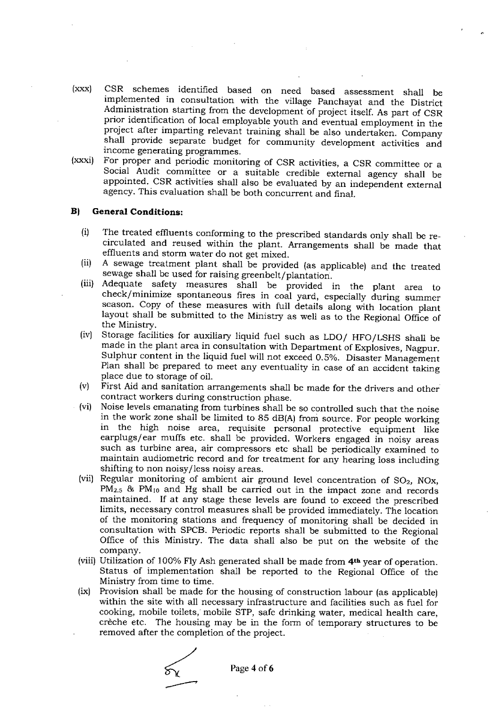- $(xxx)$ CSR schemes identified based on need based assessment shall be implemented in consultation with the village Panchayat and the District Administration starting from the development of project itself. As part of CSR prior identification of local employable youth and eventual employment in the project after imparting relevant training shall be also undertaken. Company shall provide separate budget for community development activities and income generating programmes.
- For proper and periodic monitoring of CSR activities, a CSR committee or a  $(xxxi)$ Social Audit committee or a suitable credible external agency shall be appointed. CSR activities shall also be evaluated by an independent external agency. This evaluation shall be both concurrent and final.

## **General Conditions:**  $B<sub>1</sub>$

- The treated effluents conforming to the prescribed standards only shall be re- $(i)$ circulated and reused within the plant. Arrangements shall be made that effluents and storm water do not get mixed.
- A sewage treatment plant shall be provided (as applicable) and the treated  $(ii)$ sewage shall be used for raising greenbelt/plantation.
- (iii) Adequate safety measures shall be provided in the plant area to check/minimize spontaneous fires in coal yard, especially during summer season. Copy of these measures with full details along with location plant layout shall be submitted to the Ministry as well as to the Regional Office of the Ministry.
- Storage facilities for auxiliary liquid fuel such as LDO/ HFO/LSHS shall be  $(iv)$ made in the plant area in consultation with Department of Explosives, Nagpur. Sulphur content in the liquid fuel will not exceed 0.5%. Disaster Management Plan shall be prepared to meet any eventuality in case of an accident taking place due to storage of oil.
- First Aid and sanitation arrangements shall be made for the drivers and other  $(v)$ contract workers during construction phase.
- Noise levels emanating from turbines shall be so controlled such that the noise  $(vi)$ in the work zone shall be limited to 85 dB(A) from source. For people working in the high noise area, requisite personal protective equipment like earplugs/ear muffs etc. shall be provided. Workers engaged in noisy areas such as turbine area, air compressors etc shall be periodically examined to maintain audiometric record and for treatment for any hearing loss including shifting to non noisy/less noisy areas.
- (vii) Regular monitoring of ambient air ground level concentration of  $SO_2$ , NOx,  $PM_{2.5}$  & PM<sub>10</sub> and Hg shall be carried out in the impact zone and records maintained. If at any stage these levels are found to exceed the prescribed limits, necessary control measures shall be provided immediately. The location of the monitoring stations and frequency of monitoring shall be decided in consultation with SPCB. Periodic reports shall be submitted to the Regional Office of this Ministry. The data shall also be put on the website of the company.
- (viii) Utilization of 100% Fly Ash generated shall be made from 4<sup>th</sup> year of operation. Status of implementation shall be reported to the Regional Office of the Ministry from time to time.
- Provision shall be made for the housing of construction labour (as applicable)  $(ix)$ within the site with all necessary infrastructure and facilities such as fuel for cooking, mobile toilets, mobile STP, safe drinking water, medical health care, crèche etc. The housing may be in the form of temporary structures to be removed after the completion of the project.

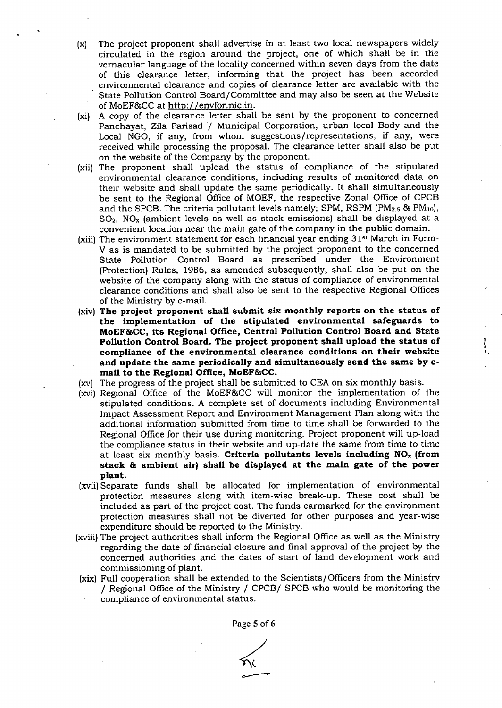- (x) The project proponent shall advertise in at least two local newspapers widely circulated in the region around the project, one of which shall be in the vernacular language of the locality concerned within seven days from the date of this clearance leter, informing that the project has been accorded environmental clearance and copies of clearance letter are available with the State Pollution Control Board/Committee and may also be seen at the Website of MoEF&CC at http://envfor.nic.in.
- (xi) A copy of the clearance letter shall be sent by the proponent to concerned Panchayat, Zila Parisad / Municipal Corporation, urban local Body and the Local NGO, if any, from whom suggestions/representations, if any, were received while processing the proposal. The clearance letter shall also be put on the website of the Company by the proponent.
- (xii) The proponent shall upload the status of compliance of the stipulated environmental clearance conditions, including results of monitored data on their website and shall update the same periodically. It shall simultaneously be sent to the Regional Office of MOEF, the respective Zonal Office of CPCB and the SPCB. The criteria pollutant levels namely; SPM, RSPM (PM<sub>2.5</sub> & PM<sub>10</sub>),  $SO<sub>2</sub>$ , NO<sub>x</sub> (ambient levels as well as stack emissions) shall be displayed at a convenient location near the main gate of the company in the public domain.
- (xiii) The environment statement for each financial year ending 31<sup>st</sup> March in Form-V as is mandated to be submitted by the project proponent to the concerned State Pollution Control Board as prescribed under the Environment (Protection) Rules, 1986, as amended subsequently, shall also be put on the website of the company along with the status of compliance of environmental clearance conditions and shall also be sent to the respective Regional Offices of the Ministry by e-mail.
- $(xiv)$  The project proponent shall submit six monthly reports on the status of the implementation of the stipulated environmental safeguards to MoEF&CC, its Regional Office, Central Pollution Control Board and State Pollution Control Board. The project proponent shall upload the status of compliance of the environmental clearance conditions on their website and update the same periodically and simultaneously send the same by email to the Regional Office, MoEF&CC.

1..

- (xv) The progress of the project shall be submitted to CEA on six monthly basis.
- (xvi) Regional Office of the MoEF&CC will monitor the implementation of the stipulated conditions. A complete set of documents including Environmental Impact Assessment Report and Environment Management Plan along with the additional information submitted from time to time shall be forwarded to the Regional Office for their use during monitoring. Project proponent will up-load the compliance status in their website and up-date the same from time to time at least six monthly basis. Criteria pollutants levels including NO<sub>x</sub> (from stack & ambient air) shall be displayed at the main gate of the power plant.
- txviilSeparate funds shall be allocated for implementation of environmental protection m easures along with item -wise break-up. These cost shall be included as part of the project cost. The funds earmarked for the environment protection measures shall not be diverted for other purposes and year-wise expenditure should be reported to the Ministry.
- (xviii) The project authorities shall inform the Regional Office as well as the Ministry regarding the date of financial closure and final approval of the project by the concerned authorities and the dates of start of land development work and commissioning of plant.
- (xix) Full cooperation shall be extended to the Scientists/Officers from the Ministry / Regional Office of the Ministry / CPCB/SPCB who would be monitoring the compliance of environmental status.